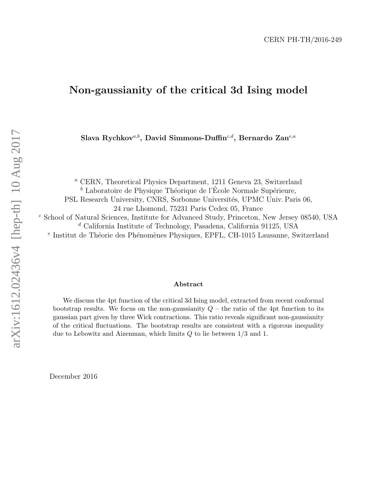# Non-gaussianity of the critical 3d Ising model

Slava Rychkov<sup>a,b</sup>, David Simmons-Duffin<sup>c,d</sup>, Bernardo Zan<sup>e,a</sup>

<sup>a</sup> CERN, Theoretical Physics Department, 1211 Geneva 23, Switzerland  $b$  Laboratoire de Physique Théorique de l'École Normale Supérieure, PSL Research University, CNRS, Sorbonne Universités, UPMC Univ. Paris 06, 24 rue Lhomond, 75231 Paris Cedex 05, France <sup>c</sup> School of Natural Sciences, Institute for Advanced Study, Princeton, New Jersey 08540, USA  $d$  California Institute of Technology, Pasadena, California 91125, USA <sup>e</sup> Institut de Théorie des Phénomènes Physiques, EPFL, CH-1015 Lausanne, Switzerland

### Abstract

We discuss the 4pt function of the critical 3d Ising model, extracted from recent conformal bootstrap results. We focus on the non-gaussianity  $Q$  – the ratio of the 4pt function to its gaussian part given by three Wick contractions. This ratio reveals significant non-gaussianity of the critical fluctuations. The bootstrap results are consistent with a rigorous inequality due to Lebowitz and Aizenman, which limits  $Q$  to lie between  $1/3$  and 1.

December 2016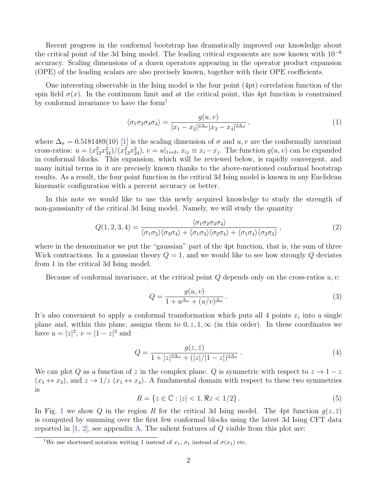Recent progress in the conformal bootstrap has dramatically improved our knowledge about the critical point of the 3d Ising model. The leading critical exponents are now known with  $10^{-6}$ accuracy. Scaling dimensions of a dozen operators appearing in the operator product expansion (OPE) of the leading scalars are also precisely known, together with their OPE coefficients.

One interesting observable in the Ising model is the four point (4pt) correlation function of the spin field  $\sigma(x)$ . In the continuum limit and at the critical point, this 4pt function is constrained by conformal invariance to have the form<sup>[1](#page-1-0)</sup>

<span id="page-1-1"></span>
$$
\langle \sigma_1 \sigma_2 \sigma_3 \sigma_4 \rangle = \frac{g(u, v)}{|x_1 - x_2|^{2\Delta_{\sigma}} |x_3 - x_4|^{2\Delta_{\sigma}}},\tag{1}
$$

where  $\Delta_{\sigma} = 0.5181489(10)$  [\[1\]](#page-9-0) is the scaling dimension of  $\sigma$  and  $u, v$  are the conformally invariant cross-ratios:  $u = (x_{12}^2 x_{34}^2)/(x_{13}^2 x_{24}^2), v = u|_{1 \leftrightarrow 3}, x_{ij} \equiv x_i - x_j$ . The function  $g(u, v)$  can be expanded in conformal blocks. This expansion, which will be reviewed below, is rapidly convergent, and many initial terms in it are precisely known thanks to the above-mentioned conformal bootstrap results. As a result, the four point function in the critical 3d Ising model is known in any Euclidean kinematic configuration with a percent accuracy or better.

In this note we would like to use this newly acquired knowledge to study the strength of non-gaussianity of the critical 3d Ising model. Namely, we will study the quantity

$$
Q(1,2,3,4) = \frac{\langle \sigma_1 \sigma_2 \sigma_3 \sigma_4 \rangle}{\langle \sigma_1 \sigma_2 \rangle \langle \sigma_3 \sigma_4 \rangle + \langle \sigma_1 \sigma_3 \rangle \langle \sigma_2 \sigma_4 \rangle + \langle \sigma_1 \sigma_4 \rangle \langle \sigma_2 \sigma_3 \rangle},\tag{2}
$$

where in the denominator we put the "gaussian" part of the 4pt function, that is, the sum of three Wick contractions. In a gaussian theory  $Q = 1$ , and we would like to see how strongly Q deviates from 1 in the critical 3d Ising model.

Because of conformal invariance, at the critical point  $Q$  depends only on the cross-ratios  $u, v$ :

$$
Q = \frac{g(u, v)}{1 + u^{\Delta_{\sigma}} + (u/v)^{\Delta_{\sigma}}}.
$$
\n(3)

It's also convenient to apply a conformal transformation which puts all 4 points  $x_i$  into a single plane and, within this plane, assigns them to  $0, z, 1, \infty$  (in this order). In these coordinates we have  $u = |z|^2$ ,  $v = |1 - z|^2$  and

$$
Q = \frac{g(z,\bar{z})}{1+|z|^{2\Delta_{\sigma}} + (|z|/|1-z|)^{2\Delta_{\sigma}}}.
$$
\n(4)

We can plot Q as a function of z in the complex plane. Q is symmetric with respect to  $z \to 1-z$  $(x_1 \leftrightarrow x_3)$ , and  $z \rightarrow 1/z$   $(x_1 \leftrightarrow x_4)$ . A fundamental domain with respect to these two symmetries is

$$
R = \{ z \in \mathbb{C} : |z| < 1, \Re z < 1/2 \}. \tag{5}
$$

In Fig. [1](#page-2-0) we show Q in the region R for the critical 3d Ising model. The 4pt function  $g(z,\bar{z})$ is computed by summing over the first few conformal blocks using the latest 3d Ising CFT data reported in  $[1, 2]$  $[1, 2]$ , see appendix [A.](#page-4-0) The salient features of  $Q$  visible from this plot are:

<span id="page-1-0"></span><sup>&</sup>lt;sup>1</sup>We use shortened notation writing 1 instead of  $x_1$ ,  $\sigma_1$  instead of  $\sigma(x_1)$  etc.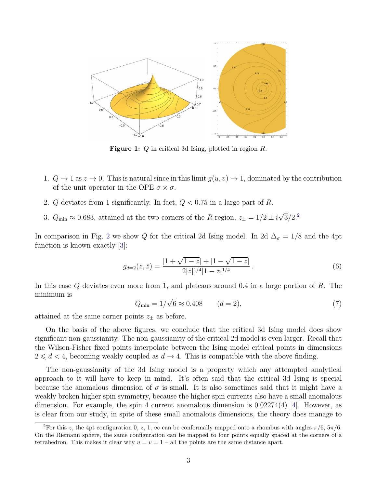<span id="page-2-0"></span>

Figure 1: Q in critical 3d Ising, plotted in region R.

- 1.  $Q \to 1$  as  $z \to 0$ . This is natural since in this limit  $g(u, v) \to 1$ , dominated by the contribution of the unit operator in the OPE  $\sigma \times \sigma$ .
- 2. Q deviates from 1 significantly. In fact,  $Q < 0.75$  in a large part of R.
- 3.  $Q_{\text{min}} \approx 0.683$ , attained at the two corners of the R region,  $z_{\pm} = 1/2 \pm i\sqrt{3}/2$  $z_{\pm} = 1/2 \pm i\sqrt{3}/2$  $z_{\pm} = 1/2 \pm i\sqrt{3}/2$ .<sup>2</sup>

In comparison in Fig. [2](#page-3-0) we show Q for the critical 2d Ising model. In 2d  $\Delta_{\sigma} = 1/8$  and the 4pt function is known exactly [\[3\]](#page-9-2):

$$
g_{d=2}(z,\bar{z}) = \frac{|1+\sqrt{1-z}|+|1-\sqrt{1-z}|}{2|z|^{1/4}|1-z|^{1/4}}.
$$
\n(6)

In this case Q deviates even more from 1, and plateaus around 0.4 in a large portion of R. The minimum is

$$
Q_{\min} = 1/\sqrt{6} \approx 0.408 \qquad (d = 2),
$$
\n(7)

attained at the same corner points  $z_{\pm}$  as before.

On the basis of the above figures, we conclude that the critical 3d Ising model does show significant non-gaussianity. The non-gaussianity of the critical 2d model is even larger. Recall that the Wilson-Fisher fixed points interpolate between the Ising model critical points in dimensions  $2 \leq d < 4$ , becoming weakly coupled as  $d \to 4$ . This is compatible with the above finding.

The non-gaussianity of the 3d Ising model is a property which any attempted analytical approach to it will have to keep in mind. It's often said that the critical 3d Ising is special because the anomalous dimension of  $\sigma$  is small. It is also sometimes said that it might have a weakly broken higher spin symmetry, because the higher spin currents also have a small anomalous dimension. For example, the spin 4 current anomalous dimension is  $0.02274(4)$  [\[4\]](#page-9-3). However, as is clear from our study, in spite of these small anomalous dimensions, the theory does manage to

<span id="page-2-1"></span><sup>&</sup>lt;sup>2</sup>For this z, the 4pt configuration 0, z, 1,  $\infty$  can be conformally mapped onto a rhombus with angles  $\pi/6$ ,  $5\pi/6$ . On the Riemann sphere, the same configuration can be mapped to four points equally spaced at the corners of a tetrahedron. This makes it clear why  $u = v = 1$  – all the points are the same distance apart.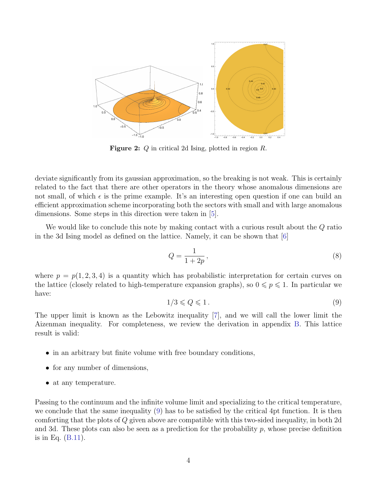<span id="page-3-0"></span>

Figure 2: Q in critical 2d Ising, plotted in region R.

deviate significantly from its gaussian approximation, so the breaking is not weak. This is certainly related to the fact that there are other operators in the theory whose anomalous dimensions are not small, of which  $\epsilon$  is the prime example. It's an interesting open question if one can build an efficient approximation scheme incorporating both the sectors with small and with large anomalous dimensions. Some steps in this direction were taken in [\[5\]](#page-9-4).

We would like to conclude this note by making contact with a curious result about the Q ratio in the 3d Ising model as defined on the lattice. Namely, it can be shown that [\[6\]](#page-9-5)

<span id="page-3-2"></span>
$$
Q = \frac{1}{1 + 2p},\tag{8}
$$

where  $p = p(1, 2, 3, 4)$  is a quantity which has probabilistic interpretation for certain curves on the lattice (closely related to high-temperature expansion graphs), so  $0 \leq p \leq 1$ . In particular we have:

<span id="page-3-1"></span>
$$
1/3 \le Q \le 1. \tag{9}
$$

The upper limit is known as the Lebowitz inequality [\[7\]](#page-9-6), and we will call the lower limit the Aizenman inequality. For completeness, we review the derivation in appendix [B.](#page-5-0) This lattice result is valid:

- in an arbitrary but finite volume with free boundary conditions,
- for any number of dimensions,
- at any temperature.

Passing to the continuum and the infinite volume limit and specializing to the critical temperature, we conclude that the same inequality [\(9\)](#page-3-1) has to be satisfied by the critical 4pt function. It is then comforting that the plots of Q given above are compatible with this two-sided inequality, in both 2d and 3d. These plots can also be seen as a prediction for the probability  $p$ , whose precise definition is in Eq. [\(B.11\)](#page-8-0).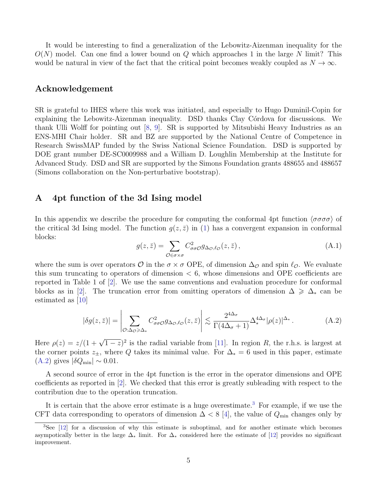It would be interesting to find a generalization of the Lebowitz-Aizenman inequality for the  $O(N)$  model. Can one find a lower bound on Q which approaches 1 in the large N limit? This would be natural in view of the fact that the critical point becomes weakly coupled as  $N \to \infty$ .

## Acknowledgement

SR is grateful to IHES where this work was initiated, and especially to Hugo Duminil-Copin for explaining the Lebowitz-Aizenman inequality. DSD thanks Clay Córdova for discussions. We thank Ulli Wolff for pointing out [\[8,](#page-9-7) [9\]](#page-9-8). SR is supported by Mitsubishi Heavy Industries as an ENS-MHI Chair holder. SR and BZ are supported by the National Centre of Competence in Research SwissMAP funded by the Swiss National Science Foundation. DSD is supported by DOE grant number DE-SC0009988 and a William D. Loughlin Membership at the Institute for Advanced Study. DSD and SR are supported by the Simons Foundation grants 488655 and 488657 (Simons collaboration on the Non-perturbative bootstrap).

## <span id="page-4-0"></span>A 4pt function of the 3d Ising model

In this appendix we describe the procedure for computing the conformal 4pt function  $\langle \sigma \sigma \sigma \sigma \rangle$  of the critical 3d Ising model. The function  $q(z, \bar{z})$  in [\(1\)](#page-1-1) has a convergent expansion in conformal blocks:

$$
g(z,\bar{z}) = \sum_{\mathcal{O}\in\sigma\times\sigma} C^2_{\sigma\sigma\mathcal{O}} g_{\Delta_{\mathcal{O}},\ell_{\mathcal{O}}}(z,\bar{z}),\tag{A.1}
$$

where the sum is over operators  $\mathcal O$  in the  $\sigma \times \sigma$  OPE, of dimension  $\Delta_{\mathcal O}$  and spin  $\ell_{\mathcal O}$ . We evaluate this sum truncating to operators of dimension  $< 6$ , whose dimensions and OPE coefficients are reported in Table 1 of [\[2\]](#page-9-1). We use the same conventions and evaluation procedure for conformal blocks as in [\[2\]](#page-9-1). The truncation error from omitting operators of dimension  $\Delta \geq \Delta_*$  can be estimated as [\[10\]](#page-9-9)

<span id="page-4-1"></span>
$$
|\delta g(z,\bar{z})| = \left| \sum_{\mathcal{O}: \Delta_{\mathcal{O}} \geq \Delta_{*}} C_{\sigma\sigma\mathcal{O}}^{2} g_{\Delta\sigma,\ell\mathcal{O}}(z,\bar{z}) \right| \lesssim \frac{2^{4\Delta_{\sigma}}}{\Gamma(4\Delta_{\sigma}+1)} \Delta_{*}^{4\Delta_{\sigma}} |\rho(z)|^{\Delta_{*}}.
$$
 (A.2)

Here  $\rho(z) = z/(1 + \sqrt{1-z})^2$  is the radial variable from [\[11\]](#page-9-10). In region R, the r.h.s. is largest at the corner points  $z_{\pm}$ , where Q takes its minimal value. For  $\Delta_* = 6$  used in this paper, estimate  $(A.2)$  gives  $|\delta Q_{\text{min}}| \sim 0.01$ .

A second source of error in the 4pt function is the error in the operator dimensions and OPE coefficients as reported in [\[2\]](#page-9-1). We checked that this error is greatly subleading with respect to the contribution due to the operation truncation.

It is certain that the above error estimate is a huge overestimate.<sup>[3](#page-4-2)</sup> For example, if we use the CFT data corresponding to operators of dimension  $\Delta < 8$  [\[4\]](#page-9-3), the value of  $Q_{\text{min}}$  changes only by

<span id="page-4-2"></span><sup>&</sup>lt;sup>3</sup>See [\[12\]](#page-9-11) for a discussion of why this estimate is suboptimal, and for another estimate which becomes asympotically better in the large  $\Delta_*$  limit. For  $\Delta_*$  considered here the estimate of [\[12\]](#page-9-11) provides no significant improvement.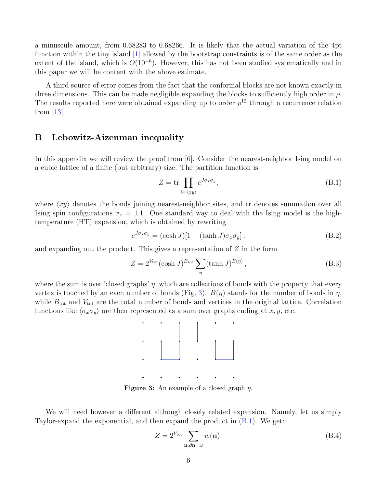a minuscule amount, from 0.68283 to 0.68266. It is likely that the actual variation of the 4pt function within the tiny island [\[1\]](#page-9-0) allowed by the bootstrap constraints is of the same order as the extent of the island, which is  $O(10^{-6})$ . However, this has not been studied systematically and in this paper we will be content with the above estimate.

A third source of error comes from the fact that the conformal blocks are not known exactly in three dimensions. This can be made negligible expanding the blocks to sufficiently high order in  $\rho$ . The results reported here were obtained expanding up to order  $\rho^{12}$  through a recurrence relation from [\[13\]](#page-9-12).

## <span id="page-5-0"></span>B Lebowitz-Aizenman inequality

In this appendix we will review the proof from [\[6\]](#page-9-5). Consider the nearest-neighbor Ising model on a cubic lattice of a finite (but arbitrary) size. The partition function is

<span id="page-5-2"></span>
$$
Z = \operatorname{tr} \prod_{b = \langle xy \rangle} e^{J \sigma_x \sigma_y}, \tag{B.1}
$$

where  $\langle xy \rangle$  denotes the bonds joining nearest-neighbor sites, and tr denotes summation over all Ising spin configurations  $\sigma_x = \pm 1$ . One standard way to deal with the Ising model is the hightemperature (HT) expansion, which is obtained by rewriting

$$
e^{J\sigma_x \sigma_y} = (\cosh J)[1 + (\tanh J)\sigma_x \sigma_y], \qquad (B.2)
$$

and expanding out the product. This gives a representation of Z in the form

$$
Z = 2^{V_{\text{tot}}} (\cosh J)^{B_{\text{tot}}} \sum_{\eta} (\tanh J)^{B(\eta)}, \tag{B.3}
$$

<span id="page-5-1"></span>where the sum is over 'closed graphs'  $\eta$ , which are collections of bonds with the property that every vertex is touched by an even number of bonds (Fig. [3\)](#page-5-1).  $B(\eta)$  stands for the number of bonds in  $\eta$ , while  $B_{\text{tot}}$  and  $V_{\text{tot}}$  are the total number of bonds and vertices in the original lattice. Correlation functions like  $\langle \sigma_x \sigma_y \rangle$  are then represented as a sum over graphs ending at x, y, etc.



**Figure 3:** An example of a closed graph  $\eta$ .

We will need however a different although closely related expansion. Namely, let us simply Taylor-expand the exponential, and then expand the product in [\(B.1\)](#page-5-2). We get:

<span id="page-5-3"></span>
$$
Z = 2^{V_{\text{tot}}} \sum_{\mathbf{n}:\partial \mathbf{n} = \varnothing} w(\mathbf{n}),\tag{B.4}
$$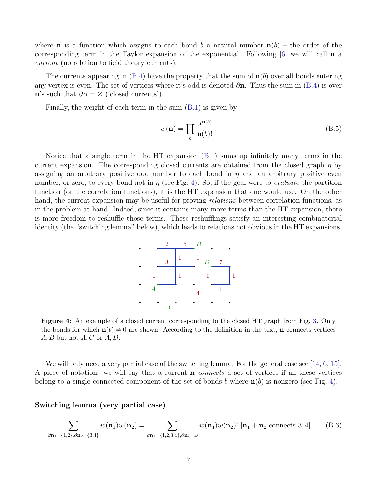where **n** is a function which assigns to each bond b a natural number  $n(b)$  – the order of the corresponding term in the Taylor expansion of the exponential. Following  $[6]$  we will call **n** a current (no relation to field theory currents).

The currents appearing in  $(B.4)$  have the property that the sum of  $n(b)$  over all bonds entering any vertex is even. The set of vertices where it's odd is denoted  $\partial$ n. Thus the sum in [\(B.4\)](#page-5-3) is over n's such that  $\partial \mathbf{n} = \varnothing$  ('closed currents').

Finally, the weight of each term in the sum [\(B.1\)](#page-5-2) is given by

$$
w(\mathbf{n}) = \prod_{b} \frac{J^{\mathbf{n}(b)}}{\mathbf{n}(b)!}.
$$
 (B.5)

<span id="page-6-0"></span>Notice that a single term in the HT expansion [\(B.1\)](#page-5-2) sums up infinitely many terms in the current expansion. The corresponding closed currents are obtained from the closed graph  $\eta$  by assigning an arbitrary positive odd number to each bond in  $\eta$  and an arbitrary positive even number, or zero, to every bond not in  $\eta$  (see Fig. [4\)](#page-6-0). So, if the goal were to *evaluate* the partition function (or the correlation functions), it is the HT expansion that one would use. On the other hand, the current expansion may be useful for proving *relations* between correlation functions, as in the problem at hand. Indeed, since it contains many more terms than the HT expansion, there is more freedom to reshuffle those terms. These reshufflings satisfy an interesting combinatorial identity (the "switching lemma" below), which leads to relations not obvious in the HT expansions.



Figure 4: An example of a closed current corresponding to the closed HT graph from Fig. [3.](#page-5-1) Only the bonds for which  $\mathbf{n}(b) \neq 0$  are shown. According to the definition in the text, **n** connects vertices  $A, B$  but not  $A, C$  or  $A, D$ .

We will only need a very partial case of the switching lemma. For the general case see [\[14,](#page-9-13) [6,](#page-9-5) [15\]](#page-9-14). A piece of notation: we will say that a current n connects a set of vertices if all these vertices belong to a single connected component of the set of bonds b where  $n(b)$  is nonzero (see Fig. [4\)](#page-6-0).

Switching lemma (very partial case)

<span id="page-6-1"></span>
$$
\sum_{\partial \mathbf{n}_1 = \{1,2\}, \partial \mathbf{n}_2 = \{3,4\}} w(\mathbf{n}_1) w(\mathbf{n}_2) = \sum_{\partial \mathbf{n}_1 = \{1,2,3,4\}, \partial \mathbf{n}_2 = \varnothing} w(\mathbf{n}_1) w(\mathbf{n}_2) \mathbb{1}[\mathbf{n}_1 + \mathbf{n}_2 \text{ connects } 3,4]. \tag{B.6}
$$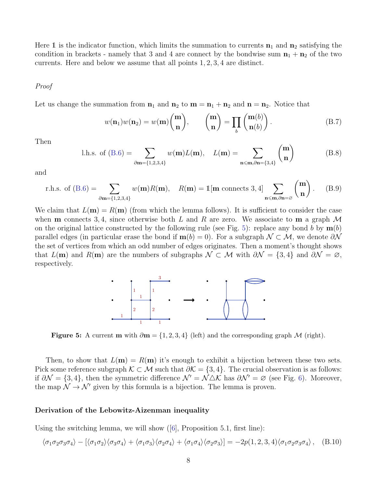Here 1 is the indicator function, which limits the summation to currents  $n_1$  and  $n_2$  satisfying the condition in brackets - namely that 3 and 4 are connect by the bondwise sum  $\mathbf{n}_1 + \mathbf{n}_2$  of the two currents. Here and below we assume that all points 1, 2, 3, 4 are distinct.

#### Proof

Let us change the summation from  $n_1$  and  $n_2$  to  $m = n_1 + n_2$  and  $n = n_2$ . Notice that

$$
w(\mathbf{n}_1)w(\mathbf{n}_2) = w(\mathbf{m})\binom{\mathbf{m}}{\mathbf{n}}, \qquad \binom{\mathbf{m}}{\mathbf{n}} = \prod_b \binom{\mathbf{m}(b)}{\mathbf{n}(b)}.
$$
 (B.7)

Then

l.h.s. of (B.6) = 
$$
\sum_{\partial m = \{1,2,3,4\}} w(m)L(m), \quad L(m) = \sum_{n \le m,\partial n = \{3,4\}} {m \choose n}
$$
 (B.8)

and

r.h.s. of (B.6) = 
$$
\sum_{\partial \mathbf{m} = \{1,2,3,4\}} w(\mathbf{m}) R(\mathbf{m}), \quad R(\mathbf{m}) = \mathbb{1}[\mathbf{m} \text{ connects } 3,4] \sum_{\mathbf{n} \leq \mathbf{m}, \partial \mathbf{n} = \varnothing} \binom{\mathbf{m}}{\mathbf{n}}.
$$
 (B.9)

<span id="page-7-0"></span>We claim that  $L(\mathbf{m}) = R(\mathbf{m})$  (from which the lemma follows). It is sufficient to consider the case when **m** connects 3,4, since otherwise both L and R are zero. We associate to **m** a graph  $\mathcal{M}$ on the original lattice constructed by the following rule (see Fig. [5\)](#page-7-0): replace any bond b by  $\mathbf{m}(b)$ parallel edges (in particular erase the bond if  $m(b) = 0$ ). For a subgraph  $\mathcal{N} \subset \mathcal{M}$ , we denote  $\partial \mathcal{N}$ the set of vertices from which an odd number of edges originates. Then a moment's thought shows that  $L(\mathbf{m})$  and  $R(\mathbf{m})$  are the numbers of subgraphs  $\mathcal{N} \subset \mathcal{M}$  with  $\partial \mathcal{N} = \{3, 4\}$  and  $\partial \mathcal{N} = \emptyset$ , respectively.



Figure 5: A current m with  $\partial m = \{1, 2, 3, 4\}$  (left) and the corresponding graph M (right).

Then, to show that  $L(\mathbf{m}) = R(\mathbf{m})$  it's enough to exhibit a bijection between these two sets. Pick some reference subgraph  $\mathcal{K} \subset \mathcal{M}$  such that  $\partial \mathcal{K} = \{3, 4\}$ . The crucial observation is as follows: if  $\partial \mathcal{N} = \{3, 4\}$ , then the symmetric difference  $\mathcal{N}' = \mathcal{N} \triangle \mathcal{K}$  has  $\partial \mathcal{N}' = \emptyset$  (see Fig. [6\)](#page-8-1). Moreover, the map  $\mathcal{N} \to \mathcal{N}'$  given by this formula is a bijection. The lemma is proven.

#### Derivation of the Lebowitz-Aizenman inequality

Using the switching lemma, we will show([\[6\]](#page-9-5), Proposition 5.1, first line):

<span id="page-7-1"></span>
$$
\langle \sigma_1 \sigma_2 \sigma_3 \sigma_4 \rangle - [\langle \sigma_1 \sigma_2 \rangle \langle \sigma_3 \sigma_4 \rangle + \langle \sigma_1 \sigma_3 \rangle \langle \sigma_2 \sigma_4 \rangle + \langle \sigma_1 \sigma_4 \rangle \langle \sigma_2 \sigma_3 \rangle] = -2p(1, 2, 3, 4)\langle \sigma_1 \sigma_2 \sigma_3 \sigma_4 \rangle , \quad (B.10)
$$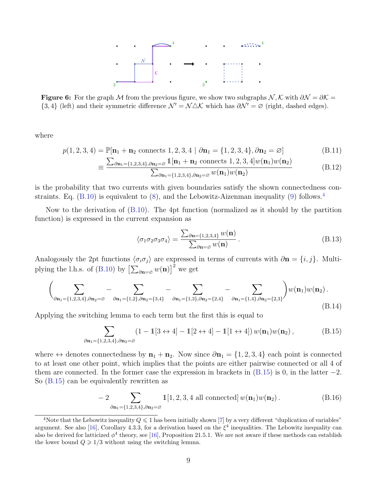

<span id="page-8-1"></span>Figure 6: For the graph M from the previous figure, we show two subgraphs  $\mathcal{N}, \mathcal{K}$  with  $\partial \mathcal{N} = \partial \mathcal{K} =$  ${3, 4}$  (left) and their symmetric difference  $\mathcal{N}' = \mathcal{N} \triangle \mathcal{K}$  which has  $\partial \mathcal{N}' = \emptyset$  (right, dashed edges).

where

$$
p(1,2,3,4) = \mathbb{P}[\mathbf{n}_1 + \mathbf{n}_2 \text{ connects } 1,2,3,4 \mid \partial \mathbf{n}_1 = \{1,2,3,4\}, \partial \mathbf{n}_2 = \varnothing]
$$
(B.11)

$$
\equiv \frac{\sum_{\partial \mathbf{n}_1 = \{1,2,3,4\},\partial \mathbf{n}_2 = \varnothing} \mathbb{1}[\mathbf{n}_1 + \mathbf{n}_2 \text{ connects } 1,2,3,4] w(\mathbf{n}_1) w(\mathbf{n}_2)}{\sum_{\partial \mathbf{n}_1 = \{1,2,3,4\},\partial \mathbf{n}_2 = \varnothing} w(\mathbf{n}_1) w(\mathbf{n}_2)}
$$
(B.12)

is the probability that two currents with given boundaries satisfy the shown connectedness constraints. Eq.  $(B.10)$  is equivalent to  $(8)$ , and the Lebowitz-Aizenman inequality  $(9)$  follows.<sup>[4](#page-8-2)</sup>

Now to the derivation of [\(B.10\)](#page-7-1). The 4pt function (normalized as it should by the partition function) is expressed in the current expansion as

<span id="page-8-4"></span><span id="page-8-0"></span>
$$
\langle \sigma_1 \sigma_2 \sigma_3 \sigma_4 \rangle = \frac{\sum_{\partial \mathbf{n} = \{1,2,3,4\}} w(\mathbf{n})}{\sum_{\partial \mathbf{n} = \varnothing} w(\mathbf{n})}.
$$
 (B.13)

Analogously the 2pt functions  $\langle \sigma_i \sigma_j \rangle$  are expressed in terms of currents with ∂n = {i, j}. Multi-plying the l.h.s. of [\(B.10\)](#page-7-1) by  $\left[\sum_{\partial \mathbf{n} = \varnothing} w(\mathbf{n})\right]^2$  we get

$$
\left(\sum_{\partial \mathbf{n}_1 = \{1,2,3,4\}, \partial \mathbf{n}_2 = \varnothing} - \sum_{\partial \mathbf{n}_1 = \{1,2\}, \partial \mathbf{n}_2 = \{3,4\}} - \sum_{\partial \mathbf{n}_1 = \{1,3\}, \partial \mathbf{n}_2 = \{2,4\}} - \sum_{\partial \mathbf{n}_1 = \{1,4\}, \partial \mathbf{n}_2 = \{2,3\}} \right) w(\mathbf{n}_1) w(\mathbf{n}_2).
$$
\n(B.14)

Applying the switching lemma to each term but the first this is equal to

<span id="page-8-3"></span>
$$
\sum_{\partial \mathbf{n}_1 = \{1,2,3,4\}, \partial \mathbf{n}_2 = \varnothing} (1 - 1[3 \leftrightarrow 4] - 1[2 \leftrightarrow 4] - 1[1 \leftrightarrow 4]) w(\mathbf{n}_1) w(\mathbf{n}_2),
$$
(B.15)

where  $\leftrightarrow$  denotes connectedness by  $\mathbf{n}_1 + \mathbf{n}_2$ . Now since  $\partial \mathbf{n}_1 = \{1, 2, 3, 4\}$  each point is connected to at least one other point, which implies that the points are either pairwise connected or all 4 of them are connected. In the former case the expression in brackets in  $(B.15)$  is 0, in the latter  $-2$ . So [\(B.15\)](#page-8-3) can be equivalently rewritten as

$$
-2\sum_{\partial \mathbf{n}_1=\{1,2,3,4\},\partial \mathbf{n}_2=\varnothing} \mathbb{1}[1,2,3,4 \text{ all connected}] w(\mathbf{n}_1)w(\mathbf{n}_2). \tag{B.16}
$$

<span id="page-8-2"></span><sup>&</sup>lt;sup>4</sup>Note that the Lebowitz inequality  $Q \leq 1$  has been initially shown [\[7\]](#page-9-6) by a very different "duplication of variables" argument. See also [\[16\]](#page-10-0), Corollary 4.3.3, for a derivation based on the  $\xi^4$  inequalities. The Lebowitz inequality can also be derived for latticized  $\phi^4$  theory, see [\[16\]](#page-10-0), Proposition 21.5.1. We are not aware if these methods can establish the lower bound  $Q \geq 1/3$  without using the switching lemma.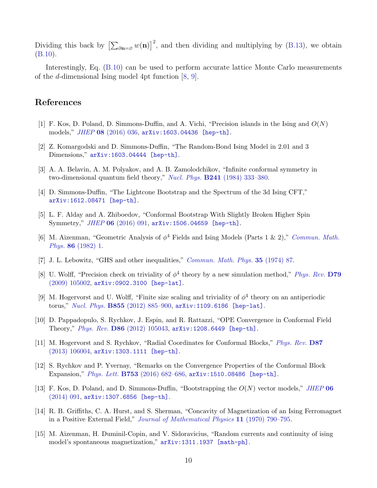Dividing this back by  $\left[\sum_{\partial n=\varnothing} w(n)\right]^2$ , and then dividing and multiplying by [\(B.13\)](#page-8-4), we obtain [\(B.10\)](#page-7-1).

Interestingly, Eq. [\(B.10\)](#page-7-1) can be used to perform accurate lattice Monte Carlo measurements of the d-dimensional Ising model 4pt function [\[8,](#page-9-7) [9\]](#page-9-8).

# References

- <span id="page-9-0"></span>[1] F. Kos, D. Poland, D. Simmons-Duffin, and A. Vichi, "Precision islands in the Ising and  $O(N)$ models," JHEP 08 [\(2016\) 036,](http://dx.doi.org/10.1007/JHEP08(2016)036) [arXiv:1603.04436 \[hep-th\]](http://arxiv.org/abs/1603.04436).
- <span id="page-9-1"></span>[2] Z. Komargodski and D. Simmons-Duffin, "The Random-Bond Ising Model in 2.01 and 3 Dimensions," [arXiv:1603.04444 \[hep-th\]](http://arxiv.org/abs/1603.04444).
- <span id="page-9-2"></span>[3] A. A. Belavin, A. M. Polyakov, and A. B. Zamolodchikov, "Infinite conformal symmetry in two-dimensional quantum field theory," Nucl. Phys. **B241** (1984) 333-380.
- <span id="page-9-3"></span>[4] D. Simmons-Duffin, "The Lightcone Bootstrap and the Spectrum of the 3d Ising CFT," [arXiv:1612.08471 \[hep-th\]](http://arxiv.org/abs/1612.08471).
- <span id="page-9-4"></span>[5] L. F. Alday and A. Zhiboedov, "Conformal Bootstrap With Slightly Broken Higher Spin Symmetry," JHEP 06 [\(2016\) 091,](http://dx.doi.org/10.1007/JHEP06(2016)091) [arXiv:1506.04659 \[hep-th\]](http://arxiv.org/abs/1506.04659).
- <span id="page-9-5"></span>[6] M. Aizenman, "Geometric Analysis of  $\phi^4$  Fields and Ising Models (Parts 1 & 2)," [Commun. Math.](http://dx.doi.org/10.1007/BF01205659) Phys. 86 [\(1982\) 1.](http://dx.doi.org/10.1007/BF01205659)
- <span id="page-9-6"></span>[7] J. L. Lebowitz, "GHS and other inequalities," [Commun. Math. Phys.](http://dx.doi.org/10.1007/BF01646608) 35 (1974) 87.
- <span id="page-9-7"></span>[8] U. Wolff, "Precision check on triviality of  $\phi^4$  theory by a new simulation method," [Phys. Rev.](http://dx.doi.org/10.1103/PhysRevD.79.105002) D79 [\(2009\) 105002,](http://dx.doi.org/10.1103/PhysRevD.79.105002) [arXiv:0902.3100 \[hep-lat\]](http://arxiv.org/abs/0902.3100).
- <span id="page-9-8"></span>[9] M. Hogervorst and U. Wolff, "Finite size scaling and triviality of  $\phi^4$  theory on an antiperiodic torus," Nucl. Phys. B855 [\(2012\) 885–900,](http://dx.doi.org/10.1016/j.nuclphysb.2011.10.028) [arXiv:1109.6186 \[hep-lat\]](http://arxiv.org/abs/1109.6186).
- <span id="page-9-9"></span>[10] D. Pappadopulo, S. Rychkov, J. Espin, and R. Rattazzi, "OPE Convergence in Conformal Field Theory," Phys. Rev. D86 [\(2012\) 105043,](http://dx.doi.org/10.1103/PhysRevD.86.105043) [arXiv:1208.6449 \[hep-th\]](http://arxiv.org/abs/1208.6449).
- <span id="page-9-10"></span>[11] M. Hogervorst and S. Rychkov, "Radial Coordinates for Conformal Blocks," [Phys. Rev.](http://dx.doi.org/10.1103/PhysRevD.87.106004) D87 [\(2013\) 106004,](http://dx.doi.org/10.1103/PhysRevD.87.106004) [arXiv:1303.1111 \[hep-th\]](http://arxiv.org/abs/1303.1111).
- <span id="page-9-11"></span>[12] S. Rychkov and P. Yvernay, "Remarks on the Convergence Properties of the Conformal Block Expansion," Phys. Lett. B753 (2016) 682-686, [arXiv:1510.08486 \[hep-th\]](http://arxiv.org/abs/1510.08486).
- <span id="page-9-12"></span>[13] F. Kos, D. Poland, and D. Simmons-Duffin, "Bootstrapping the  $O(N)$  vector models," [JHEP](http://dx.doi.org/10.1007/JHEP06(2014)091) 06 [\(2014\) 091,](http://dx.doi.org/10.1007/JHEP06(2014)091) [arXiv:1307.6856 \[hep-th\]](http://arxiv.org/abs/1307.6856).
- <span id="page-9-13"></span>[14] R. B. Griffiths, C. A. Hurst, and S. Sherman, "Concavity of Magnetization of an Ising Ferromagnet in a Positive External Field," [Journal of Mathematical Physics](http://dx.doi.org/10.1063/1.1665211) 11 (1970) 790–795.
- <span id="page-9-14"></span>[15] M. Aizenman, H. Duminil-Copin, and V. Sidoravicius, "Random currents and continuity of ising model's spontaneous magnetization,"  $arXiv:1311.1937$  [math-ph].